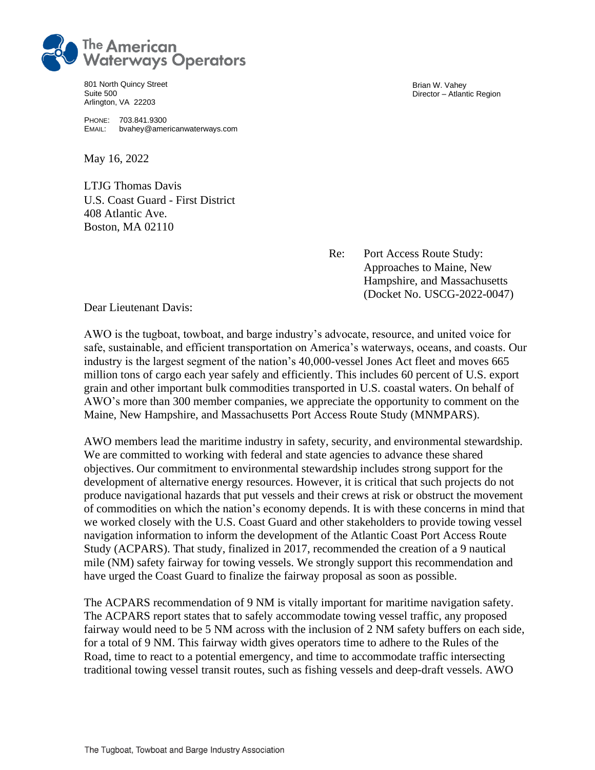

801 North Quincy Street Suite 500 Arlington, VA 22203

PHONE: 703.841.9300 EMAIL: bvahey@americanwaterways.com

May 16, 2022

LTJG Thomas Davis U.S. Coast Guard - First District 408 Atlantic Ave. Boston, MA 02110

Brian W. Vahey Director – Atlantic Region

Re: Port Access Route Study: Approaches to Maine, New Hampshire, and Massachusetts (Docket No. USCG-2022-0047)

Dear Lieutenant Davis:

AWO is the tugboat, towboat, and barge industry's advocate, resource, and united voice for safe, sustainable, and efficient transportation on America's waterways, oceans, and coasts. Our industry is the largest segment of the nation's 40,000-vessel Jones Act fleet and moves 665 million tons of cargo each year safely and efficiently. This includes 60 percent of U.S. export grain and other important bulk commodities transported in U.S. coastal waters. On behalf of AWO's more than 300 member companies, we appreciate the opportunity to comment on the Maine, New Hampshire, and Massachusetts Port Access Route Study (MNMPARS).

AWO members lead the maritime industry in safety, security, and environmental stewardship. We are committed to working with federal and state agencies to advance these shared objectives. Our commitment to environmental stewardship includes strong support for the development of alternative energy resources. However, it is critical that such projects do not produce navigational hazards that put vessels and their crews at risk or obstruct the movement of commodities on which the nation's economy depends. It is with these concerns in mind that we worked closely with the U.S. Coast Guard and other stakeholders to provide towing vessel navigation information to inform the development of the Atlantic Coast Port Access Route Study (ACPARS). That study, finalized in 2017, recommended the creation of a 9 nautical mile (NM) safety fairway for towing vessels. We strongly support this recommendation and have urged the Coast Guard to finalize the fairway proposal as soon as possible.

The ACPARS recommendation of 9 NM is vitally important for maritime navigation safety. The ACPARS report states that to safely accommodate towing vessel traffic, any proposed fairway would need to be 5 NM across with the inclusion of 2 NM safety buffers on each side, for a total of 9 NM. This fairway width gives operators time to adhere to the Rules of the Road, time to react to a potential emergency, and time to accommodate traffic intersecting traditional towing vessel transit routes, such as fishing vessels and deep-draft vessels. AWO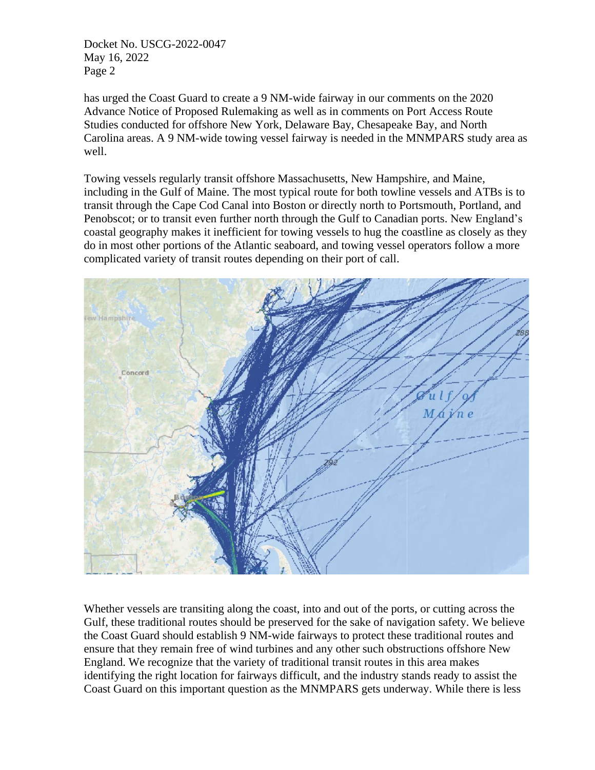Docket No. USCG-2022-0047 May 16, 2022 Page 2

has urged the Coast Guard to create a 9 NM-wide fairway in our comments on the 2020 Advance Notice of Proposed Rulemaking as well as in comments on Port Access Route Studies conducted for offshore New York, Delaware Bay, Chesapeake Bay, and North Carolina areas. A 9 NM-wide towing vessel fairway is needed in the MNMPARS study area as well.

Towing vessels regularly transit offshore Massachusetts, New Hampshire, and Maine, including in the Gulf of Maine. The most typical route for both towline vessels and ATBs is to transit through the Cape Cod Canal into Boston or directly north to Portsmouth, Portland, and Penobscot; or to transit even further north through the Gulf to Canadian ports. New England's coastal geography makes it inefficient for towing vessels to hug the coastline as closely as they do in most other portions of the Atlantic seaboard, and towing vessel operators follow a more complicated variety of transit routes depending on their port of call.



Whether vessels are transiting along the coast, into and out of the ports, or cutting across the Gulf, these traditional routes should be preserved for the sake of navigation safety. We believe the Coast Guard should establish 9 NM-wide fairways to protect these traditional routes and ensure that they remain free of wind turbines and any other such obstructions offshore New England. We recognize that the variety of traditional transit routes in this area makes identifying the right location for fairways difficult, and the industry stands ready to assist the Coast Guard on this important question as the MNMPARS gets underway. While there is less